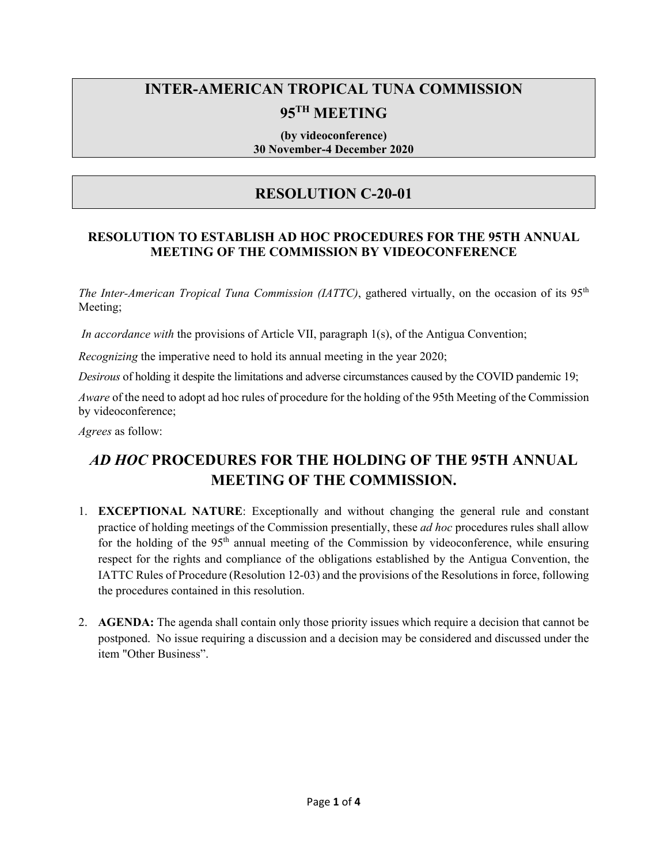# **INTER-AMERICAN TROPICAL TUNA COMMISSION 95TH MEETING**

#### **(by videoconference) 30 November-4 December 2020**

# **RESOLUTION C-20-01**

# **RESOLUTION TO ESTABLISH AD HOC PROCEDURES FOR THE 95TH ANNUAL MEETING OF THE COMMISSION BY VIDEOCONFERENCE**

*The Inter-American Tropical Tuna Commission (IATTC)*, gathered virtually, on the occasion of its 95<sup>th</sup> Meeting;

*In accordance with* the provisions of Article VII, paragraph 1(s), of the Antigua Convention;

*Recognizing* the imperative need to hold its annual meeting in the year 2020;

*Desirous* of holding it despite the limitations and adverse circumstances caused by the COVID pandemic 19;

*Aware* of the need to adopt ad hoc rules of procedure for the holding of the 95th Meeting of the Commission by videoconference;

*Agrees* as follow:

# *AD HOC* **PROCEDURES FOR THE HOLDING OF THE 95TH ANNUAL MEETING OF THE COMMISSION.**

- 1. **EXCEPTIONAL NATURE**: Exceptionally and without changing the general rule and constant practice of holding meetings of the Commission presentially, these *ad hoc* procedures rules shall allow for the holding of the  $95<sup>th</sup>$  annual meeting of the Commission by videoconference, while ensuring respect for the rights and compliance of the obligations established by the Antigua Convention, the IATTC Rules of Procedure (Resolution 12-03) and the provisions of the Resolutions in force, following the procedures contained in this resolution.
- 2. **AGENDA:** The agenda shall contain only those priority issues which require a decision that cannot be postponed. No issue requiring a discussion and a decision may be considered and discussed under the item "Other Business".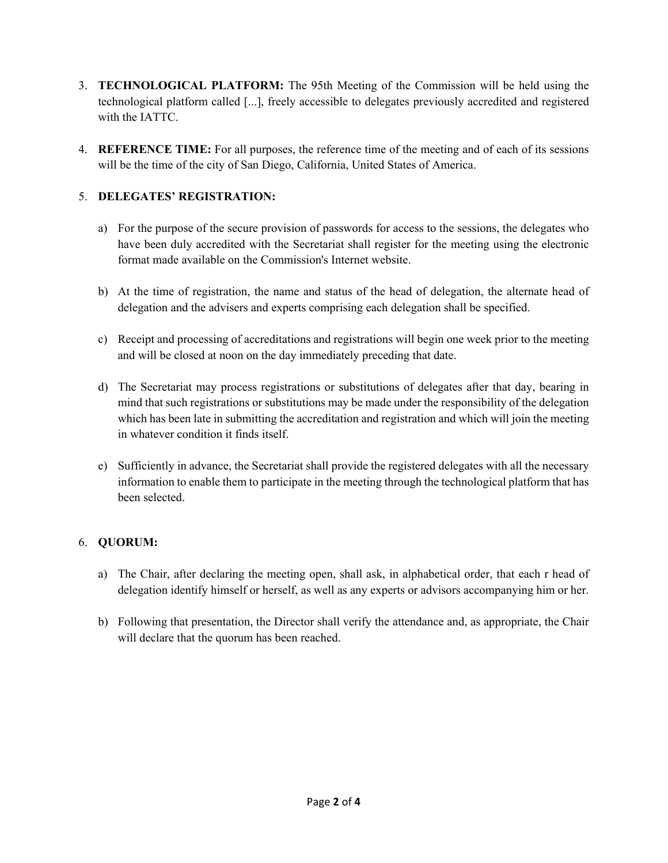- 3. **TECHNOLOGICAL PLATFORM:** The 95th Meeting of the Commission will be held using the technological platform called [...], freely accessible to delegates previously accredited and registered with the IATTC.
- 4. **REFERENCE TIME:** For all purposes, the reference time of the meeting and of each of its sessions will be the time of the city of San Diego, California, United States of America.

### 5. **DELEGATES' REGISTRATION:**

- a) For the purpose of the secure provision of passwords for access to the sessions, the delegates who have been duly accredited with the Secretariat shall register for the meeting using the electronic format made available on the Commission's Internet website.
- b) At the time of registration, the name and status of the head of delegation, the alternate head of delegation and the advisers and experts comprising each delegation shall be specified.
- c) Receipt and processing of accreditations and registrations will begin one week prior to the meeting and will be closed at noon on the day immediately preceding that date.
- d) The Secretariat may process registrations or substitutions of delegates after that day, bearing in mind that such registrations or substitutions may be made under the responsibility of the delegation which has been late in submitting the accreditation and registration and which will join the meeting in whatever condition it finds itself.
- e) Sufficiently in advance, the Secretariat shall provide the registered delegates with all the necessary information to enable them to participate in the meeting through the technological platform that has been selected.

### 6. **QUORUM:**

- a) The Chair, after declaring the meeting open, shall ask, in alphabetical order, that each r head of delegation identify himself or herself, as well as any experts or advisors accompanying him or her.
- b) Following that presentation, the Director shall verify the attendance and, as appropriate, the Chair will declare that the quorum has been reached.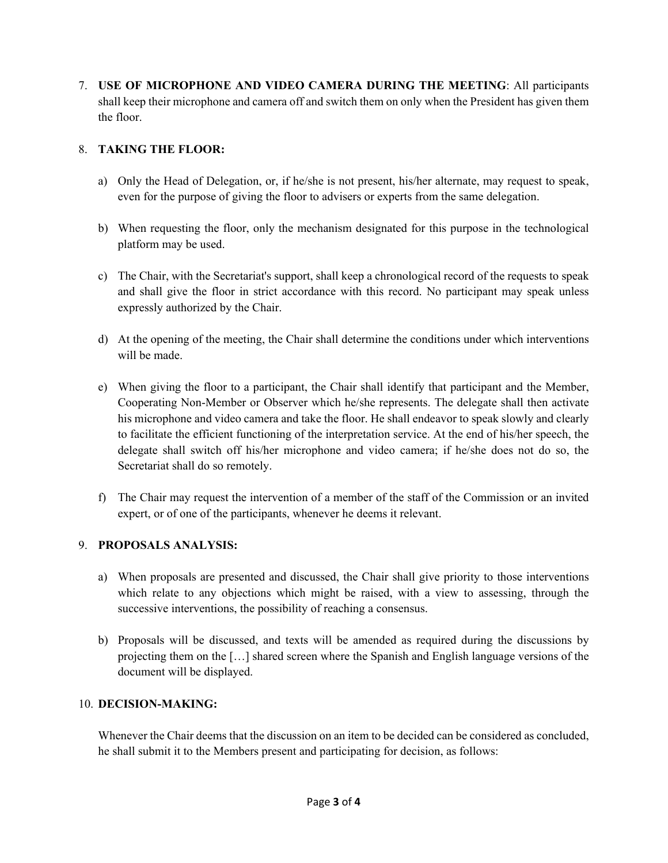7. **USE OF MICROPHONE AND VIDEO CAMERA DURING THE MEETING**: All participants shall keep their microphone and camera off and switch them on only when the President has given them the floor.

#### 8. **TAKING THE FLOOR:**

- a) Only the Head of Delegation, or, if he/she is not present, his/her alternate, may request to speak, even for the purpose of giving the floor to advisers or experts from the same delegation.
- b) When requesting the floor, only the mechanism designated for this purpose in the technological platform may be used.
- c) The Chair, with the Secretariat's support, shall keep a chronological record of the requests to speak and shall give the floor in strict accordance with this record. No participant may speak unless expressly authorized by the Chair.
- d) At the opening of the meeting, the Chair shall determine the conditions under which interventions will be made.
- e) When giving the floor to a participant, the Chair shall identify that participant and the Member, Cooperating Non-Member or Observer which he/she represents. The delegate shall then activate his microphone and video camera and take the floor. He shall endeavor to speak slowly and clearly to facilitate the efficient functioning of the interpretation service. At the end of his/her speech, the delegate shall switch off his/her microphone and video camera; if he/she does not do so, the Secretariat shall do so remotely.
- f) The Chair may request the intervention of a member of the staff of the Commission or an invited expert, or of one of the participants, whenever he deems it relevant.

#### 9. **PROPOSALS ANALYSIS:**

- a) When proposals are presented and discussed, the Chair shall give priority to those interventions which relate to any objections which might be raised, with a view to assessing, through the successive interventions, the possibility of reaching a consensus.
- b) Proposals will be discussed, and texts will be amended as required during the discussions by projecting them on the […] shared screen where the Spanish and English language versions of the document will be displayed.

#### 10. **DECISION-MAKING:**

Whenever the Chair deems that the discussion on an item to be decided can be considered as concluded, he shall submit it to the Members present and participating for decision, as follows: